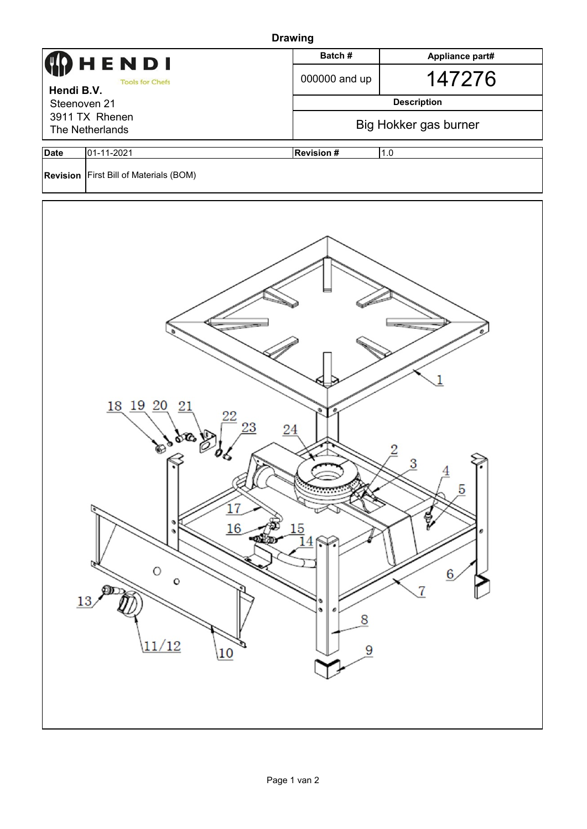